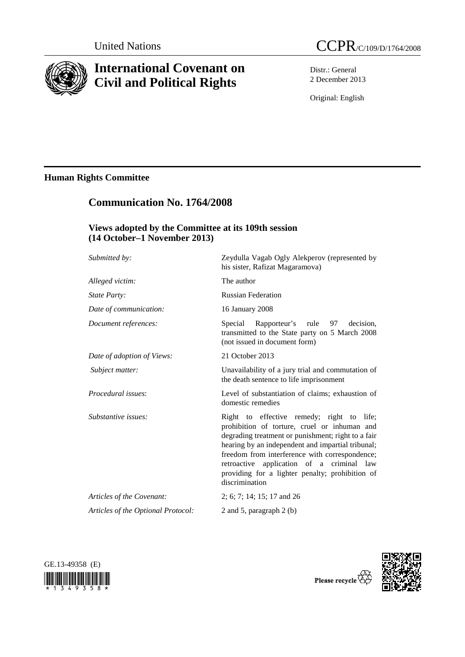

# **International Covenant on Civil and Political Rights**



Distr.: General 2 December 2013

Original: English

# **Human Rights Committee**

# **Communication No. 1764/2008**

## **Views adopted by the Committee at its 109th session (14 October–1 November 2013)**

| Submitted by:                      | Zeydulla Vagab Ogly Alekperov (represented by<br>his sister, Rafizat Magaramova)                                                                                                                                                                                                                                                                                         |
|------------------------------------|--------------------------------------------------------------------------------------------------------------------------------------------------------------------------------------------------------------------------------------------------------------------------------------------------------------------------------------------------------------------------|
| Alleged victim:                    | The author                                                                                                                                                                                                                                                                                                                                                               |
| <i>State Party:</i>                | <b>Russian Federation</b>                                                                                                                                                                                                                                                                                                                                                |
| Date of communication:             | 16 January 2008                                                                                                                                                                                                                                                                                                                                                          |
| Document references:               | Special Rapporteur's rule 97<br>decision.<br>transmitted to the State party on 5 March 2008<br>(not issued in document form)                                                                                                                                                                                                                                             |
| Date of adoption of Views:         | 21 October 2013                                                                                                                                                                                                                                                                                                                                                          |
| Subject matter:                    | Unavailability of a jury trial and commutation of<br>the death sentence to life imprisonment                                                                                                                                                                                                                                                                             |
| Procedural issues:                 | Level of substantiation of claims; exhaustion of<br>domestic remedies                                                                                                                                                                                                                                                                                                    |
| Substantive issues:                | Right to effective remedy; right to life;<br>prohibition of torture, cruel or inhuman and<br>degrading treatment or punishment; right to a fair<br>hearing by an independent and impartial tribunal;<br>freedom from interference with correspondence;<br>retroactive application of a criminal law<br>providing for a lighter penalty; prohibition of<br>discrimination |
| Articles of the Covenant:          | 2; 6; 7; 14; 15; 17 and 26                                                                                                                                                                                                                                                                                                                                               |
| Articles of the Optional Protocol: | 2 and 5, paragraph 2 (b)                                                                                                                                                                                                                                                                                                                                                 |



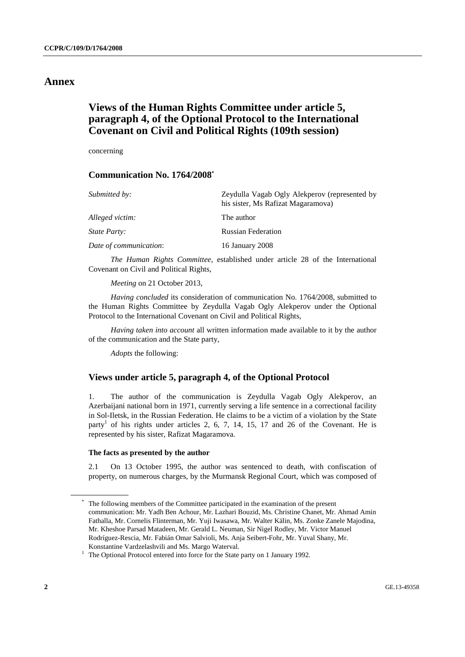## **Annex**

# **Views of the Human Rights Committee under article 5, paragraph 4, of the Optional Protocol to the International Covenant on Civil and Political Rights (109th session)**

concerning

### **Communication No. 1764/2008\***

| Submitted by:          | Zeydulla Vagab Ogly Alekperov (represented by<br>his sister, Ms Rafizat Magaramova) |
|------------------------|-------------------------------------------------------------------------------------|
| Alleged victim:        | The author                                                                          |
| State Party:           | <b>Russian Federation</b>                                                           |
| Date of communication: | 16 January 2008                                                                     |

*The Human Rights Committee*, established under article 28 of the International Covenant on Civil and Political Rights,

*Meeting* on 21 October 2013,

 *Having concluded* its consideration of communication No. 1764/2008, submitted to the Human Rights Committee by Zeydulla Vagab Ogly Alekperov under the Optional Protocol to the International Covenant on Civil and Political Rights,

 *Having taken into account* all written information made available to it by the author of the communication and the State party,

*Adopts* the following:

### **Views under article 5, paragraph 4, of the Optional Protocol**

1. The author of the communication is Zeydulla Vagab Ogly Alekperov, an Azerbaijani national born in 1971, currently serving a life sentence in a correctional facility in Sol-Iletsk, in the Russian Federation. He claims to be a victim of a violation by the State party<sup>1</sup> of his rights under articles 2, 6, 7, 14, 15, 17 and 26 of the Covenant. He is represented by his sister, Rafizat Magaramova.

#### **The facts as presented by the author**

2.1 On 13 October 1995, the author was sentenced to death, with confiscation of property, on numerous charges, by the Murmansk Regional Court, which was composed of

<sup>\*</sup> The following members of the Committee participated in the examination of the present communication: Mr. Yadh Ben Achour, Mr. Lazhari Bouzid, Ms. Christine Chanet, Mr. Ahmad Amin Fathalla, Mr. Cornelis Flinterman, Mr. Yuji Iwasawa, Mr. Walter Kälin, Ms. Zonke Zanele Majodina, Mr. Kheshoe Parsad Matadeen, Mr. Gerald L. Neuman, Sir Nigel Rodley, Mr. Victor Manuel Rodríguez-Rescia, Mr. Fabián Omar Salvioli, Ms. Anja Seibert-Fohr, Mr. Yuval Shany, Mr. Konstantine Vardzelashvili and Ms. Margo Waterval. 1

 $1$  The Optional Protocol entered into force for the State party on 1 January 1992.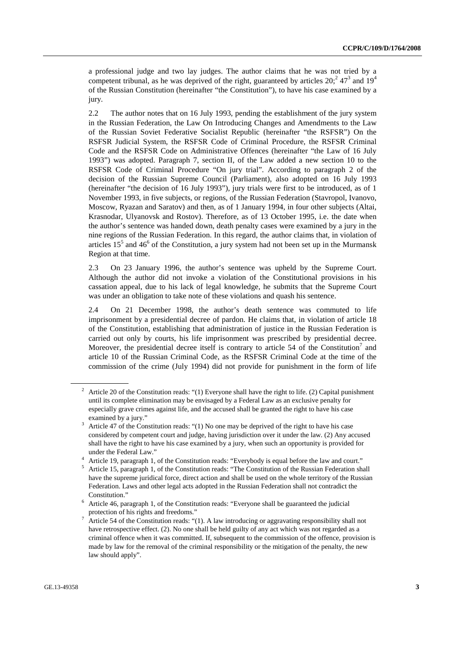a professional judge and two lay judges. The author claims that he was not tried by a competent tribunal, as he was deprived of the right, guaranteed by articles  $20<sup>2</sup>$ ,  $47<sup>3</sup>$  and  $19<sup>4</sup>$ of the Russian Constitution (hereinafter "the Constitution"), to have his case examined by a jury.

2.2 The author notes that on 16 July 1993, pending the establishment of the jury system in the Russian Federation, the Law On Introducing Changes and Amendments to the Law of the Russian Soviet Federative Socialist Republic (hereinafter "the RSFSR") On the RSFSR Judicial System, the RSFSR Code of Criminal Procedure, the RSFSR Criminal Code and the RSFSR Code on Administrative Offences (hereinafter "the Law of 16 July 1993") was adopted. Paragraph 7, section II, of the Law added a new section 10 to the RSFSR Code of Criminal Procedure "On jury trial". According to paragraph 2 of the decision of the Russian Supreme Council (Parliament), also adopted on 16 July 1993 (hereinafter "the decision of 16 July 1993"), jury trials were first to be introduced, as of 1 November 1993, in five subjects, or regions, of the Russian Federation (Stavropol, Ivanovo, Moscow, Ryazan and Saratov) and then, as of 1 January 1994, in four other subjects (Altai, Krasnodar, Ulyanovsk and Rostov). Therefore, as of 13 October 1995, i.e. the date when the author's sentence was handed down, death penalty cases were examined by a jury in the nine regions of the Russian Federation. In this regard, the author claims that, in violation of articles  $15<sup>5</sup>$  and  $46<sup>6</sup>$  of the Constitution, a jury system had not been set up in the Murmansk Region at that time.

2.3 On 23 January 1996, the author's sentence was upheld by the Supreme Court. Although the author did not invoke a violation of the Constitutional provisions in his cassation appeal, due to his lack of legal knowledge, he submits that the Supreme Court was under an obligation to take note of these violations and quash his sentence.

2.4 On 21 December 1998, the author's death sentence was commuted to life imprisonment by a presidential decree of pardon. He claims that, in violation of article 18 of the Constitution, establishing that administration of justice in the Russian Federation is carried out only by courts, his life imprisonment was prescribed by presidential decree. Moreover, the presidential decree itself is contrary to article 54 of the Constitution<sup>7</sup> and article 10 of the Russian Criminal Code, as the RSFSR Criminal Code at the time of the commission of the crime (July 1994) did not provide for punishment in the form of life

<sup>&</sup>lt;sup>2</sup> Article 20 of the Constitution reads: "(1) Everyone shall have the right to life. (2) Capital punishment until its complete elimination may be envisaged by a Federal Law as an exclusive penalty for especially grave crimes against life, and the accused shall be granted the right to have his case examined by a jury."

Article 47 of the Constitution reads: "(1) No one may be deprived of the right to have his case considered by competent court and judge, having jurisdiction over it under the law. (2) Any accused shall have the right to have his case examined by a jury, when such an opportunity is provided for under the Federal Law." 4

Article 19, paragraph 1, of the Constitution reads: "Everybody is equal before the law and court."

<sup>&</sup>lt;sup>5</sup> Article 15, paragraph 1, of the Constitution reads: "The Constitution of the Russian Federation shall have the supreme juridical force, direct action and shall be used on the whole territory of the Russian Federation. Laws and other legal acts adopted in the Russian Federation shall not contradict the Constitution." 6 Article 46, paragraph 1, of the Constitution reads: "Everyone shall be guaranteed the judicial

protection of his rights and freedoms."

Article 54 of the Constitution reads: "(1). A law introducing or aggravating responsibility shall not have retrospective effect. (2). No one shall be held guilty of any act which was not regarded as a criminal offence when it was committed. If, subsequent to the commission of the offence, provision is made by law for the removal of the criminal responsibility or the mitigation of the penalty, the new law should apply".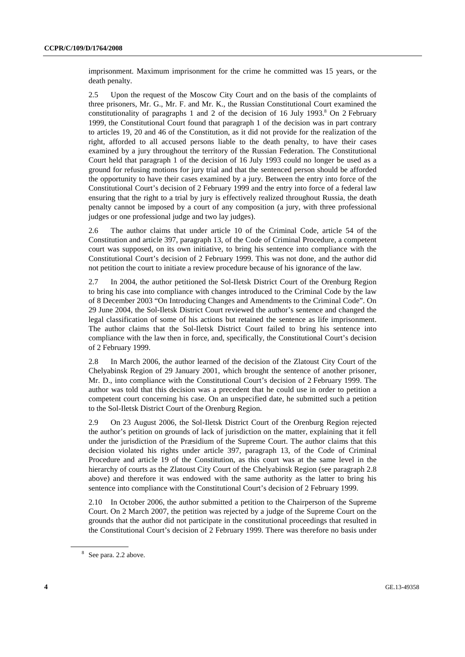imprisonment. Maximum imprisonment for the crime he committed was 15 years, or the death penalty.

2.5 Upon the request of the Moscow City Court and on the basis of the complaints of three prisoners, Mr. G., Mr. F. and Mr. K., the Russian Constitutional Court examined the constitutionality of paragraphs 1 and 2 of the decision of 16 July 1993.<sup>8</sup> On 2 February 1999, the Constitutional Court found that paragraph 1 of the decision was in part contrary to articles 19, 20 and 46 of the Constitution, as it did not provide for the realization of the right, afforded to all accused persons liable to the death penalty, to have their cases examined by a jury throughout the territory of the Russian Federation. The Constitutional Court held that paragraph 1 of the decision of 16 July 1993 could no longer be used as a ground for refusing motions for jury trial and that the sentenced person should be afforded the opportunity to have their cases examined by a jury. Between the entry into force of the Constitutional Court's decision of 2 February 1999 and the entry into force of a federal law ensuring that the right to a trial by jury is effectively realized throughout Russia, the death penalty cannot be imposed by a court of any composition (a jury, with three professional judges or one professional judge and two lay judges).

2.6 The author claims that under article 10 of the Criminal Code, article 54 of the Constitution and article 397, paragraph 13, of the Code of Criminal Procedure, a competent court was supposed, on its own initiative, to bring his sentence into compliance with the Constitutional Court's decision of 2 February 1999. This was not done, and the author did not petition the court to initiate a review procedure because of his ignorance of the law.

2.7 In 2004, the author petitioned the Sol-Iletsk District Court of the Orenburg Region to bring his case into compliance with changes introduced to the Criminal Code by the law of 8 December 2003 "On Introducing Changes and Amendments to the Criminal Code". On 29 June 2004, the Sol-Iletsk District Court reviewed the author's sentence and changed the legal classification of some of his actions but retained the sentence as life imprisonment. The author claims that the Sol-Iletsk District Court failed to bring his sentence into compliance with the law then in force, and, specifically, the Constitutional Court's decision of 2 February 1999.

2.8 In March 2006, the author learned of the decision of the Zlatoust City Court of the Chelyabinsk Region of 29 January 2001, which brought the sentence of another prisoner, Mr. D., into compliance with the Constitutional Court's decision of 2 February 1999. The author was told that this decision was a precedent that he could use in order to petition a competent court concerning his case. On an unspecified date, he submitted such a petition to the Sol-Iletsk District Court of the Orenburg Region.

2.9 On 23 August 2006, the Sol-Iletsk District Court of the Orenburg Region rejected the author's petition on grounds of lack of jurisdiction on the matter, explaining that it fell under the jurisdiction of the Præsidium of the Supreme Court. The author claims that this decision violated his rights under article 397, paragraph 13, of the Code of Criminal Procedure and article 19 of the Constitution, as this court was at the same level in the hierarchy of courts as the Zlatoust City Court of the Chelyabinsk Region (see paragraph 2.8 above) and therefore it was endowed with the same authority as the latter to bring his sentence into compliance with the Constitutional Court's decision of 2 February 1999.

2.10 In October 2006, the author submitted a petition to the Chairperson of the Supreme Court. On 2 March 2007, the petition was rejected by a judge of the Supreme Court on the grounds that the author did not participate in the constitutional proceedings that resulted in the Constitutional Court's decision of 2 February 1999. There was therefore no basis under

<sup>&</sup>lt;sup>8</sup> See para. 2.2 above.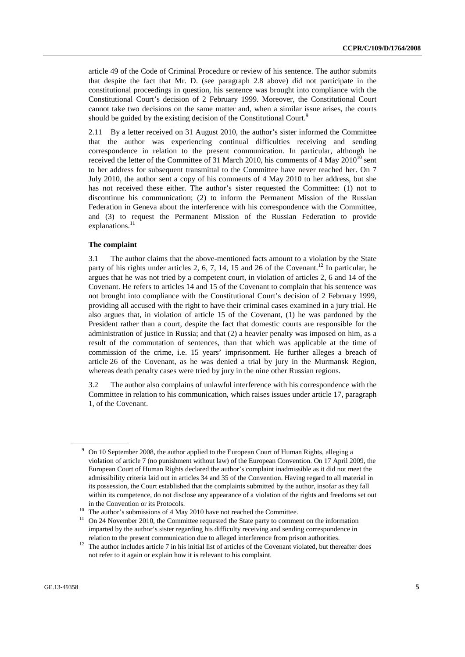article 49 of the Code of Criminal Procedure or review of his sentence. The author submits that despite the fact that Mr. D. (see paragraph 2.8 above) did not participate in the constitutional proceedings in question, his sentence was brought into compliance with the Constitutional Court's decision of 2 February 1999. Moreover, the Constitutional Court cannot take two decisions on the same matter and, when a similar issue arises, the courts should be guided by the existing decision of the Constitutional Court.<sup>9</sup>

2.11 By a letter received on 31 August 2010, the author's sister informed the Committee that the author was experiencing continual difficulties receiving and sending correspondence in relation to the present communication. In particular, although he received the letter of the Committee of 31 March 2010, his comments of 4 May  $2010^{10}$  sent to her address for subsequent transmittal to the Committee have never reached her. On 7 July 2010, the author sent a copy of his comments of 4 May 2010 to her address, but she has not received these either. The author's sister requested the Committee: (1) not to discontinue his communication; (2) to inform the Permanent Mission of the Russian Federation in Geneva about the interference with his correspondence with the Committee, and (3) to request the Permanent Mission of the Russian Federation to provide explanations.<sup>11</sup>

#### **The complaint**

3.1 The author claims that the above-mentioned facts amount to a violation by the State party of his rights under articles 2, 6, 7, 14, 15 and 26 of the Covenant.<sup>12</sup> In particular, he argues that he was not tried by a competent court, in violation of articles 2, 6 and 14 of the Covenant. He refers to articles 14 and 15 of the Covenant to complain that his sentence was not brought into compliance with the Constitutional Court's decision of 2 February 1999, providing all accused with the right to have their criminal cases examined in a jury trial. He also argues that, in violation of article 15 of the Covenant, (1) he was pardoned by the President rather than a court, despite the fact that domestic courts are responsible for the administration of justice in Russia; and that (2) a heavier penalty was imposed on him, as a result of the commutation of sentences, than that which was applicable at the time of commission of the crime, i.e. 15 years' imprisonment. He further alleges a breach of article 26 of the Covenant, as he was denied a trial by jury in the Murmansk Region, whereas death penalty cases were tried by jury in the nine other Russian regions.

3.2 The author also complains of unlawful interference with his correspondence with the Committee in relation to his communication, which raises issues under article 17, paragraph 1, of the Covenant.

<sup>9</sup> On 10 September 2008, the author applied to the European Court of Human Rights, alleging a violation of article 7 (no punishment without law) of the European Convention. On 17 April 2009, the European Court of Human Rights declared the author's complaint inadmissible as it did not meet the admissibility criteria laid out in articles 34 and 35 of the Convention. Having regard to all material in its possession, the Court established that the complaints submitted by the author, insofar as they fall within its competence, do not disclose any appearance of a violation of the rights and freedoms set out

in the Convention or its Protocols.<br><sup>10</sup> The author's submissions of 4 May 2010 have not reached the Committee.<br><sup>11</sup> On 24 November 2010, the Committee requested the State party to comment on the information imparted by the author's sister regarding his difficulty receiving and sending correspondence in

relation to the present communication due to alleged interference from prison authorities. 12 The author includes article 7 in his initial list of articles of the Covenant violated, but thereafter does not refer to it again or explain how it is relevant to his complaint.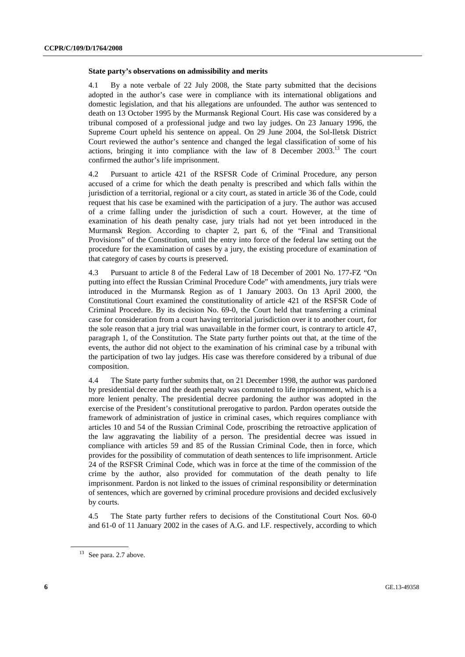#### **State party's observations on admissibility and merits**

4.1 By a note verbale of 22 July 2008, the State party submitted that the decisions adopted in the author's case were in compliance with its international obligations and domestic legislation, and that his allegations are unfounded. The author was sentenced to death on 13 October 1995 by the Murmansk Regional Court. His case was considered by a tribunal composed of a professional judge and two lay judges. On 23 January 1996, the Supreme Court upheld his sentence on appeal. On 29 June 2004, the Sol-Iletsk District Court reviewed the author's sentence and changed the legal classification of some of his actions, bringing it into compliance with the law of 8 December 2003.13 The court confirmed the author's life imprisonment.

4.2 Pursuant to article 421 of the RSFSR Code of Criminal Procedure, any person accused of a crime for which the death penalty is prescribed and which falls within the jurisdiction of a territorial, regional or a city court, as stated in article 36 of the Code, could request that his case be examined with the participation of a jury. The author was accused of a crime falling under the jurisdiction of such a court. However, at the time of examination of his death penalty case, jury trials had not yet been introduced in the Murmansk Region. According to chapter 2, part 6, of the "Final and Transitional Provisions" of the Constitution, until the entry into force of the federal law setting out the procedure for the examination of cases by a jury, the existing procedure of examination of that category of cases by courts is preserved.

4.3 Pursuant to article 8 of the Federal Law of 18 December of 2001 No. 177-FZ "On putting into effect the Russian Criminal Procedure Code" with amendments, jury trials were introduced in the Murmansk Region as of 1 January 2003. On 13 April 2000, the Constitutional Court examined the constitutionality of article 421 of the RSFSR Code of Criminal Procedure. By its decision No. 69-0, the Court held that transferring a criminal case for consideration from a court having territorial jurisdiction over it to another court, for the sole reason that a jury trial was unavailable in the former court, is contrary to article 47, paragraph 1, of the Constitution. The State party further points out that, at the time of the events, the author did not object to the examination of his criminal case by a tribunal with the participation of two lay judges. His case was therefore considered by a tribunal of due composition.

4.4 The State party further submits that, on 21 December 1998, the author was pardoned by presidential decree and the death penalty was commuted to life imprisonment, which is a more lenient penalty. The presidential decree pardoning the author was adopted in the exercise of the President's constitutional prerogative to pardon. Pardon operates outside the framework of administration of justice in criminal cases, which requires compliance with articles 10 and 54 of the Russian Criminal Code, proscribing the retroactive application of the law aggravating the liability of a person. The presidential decree was issued in compliance with articles 59 and 85 of the Russian Criminal Code, then in force, which provides for the possibility of commutation of death sentences to life imprisonment. Article 24 of the RSFSR Criminal Code, which was in force at the time of the commission of the crime by the author, also provided for commutation of the death penalty to life imprisonment. Pardon is not linked to the issues of criminal responsibility or determination of sentences, which are governed by criminal procedure provisions and decided exclusively by courts.

4.5 The State party further refers to decisions of the Constitutional Court Nos. 60-0 and 61-0 of 11 January 2002 in the cases of A.G. and I.F. respectively, according to which

 $13$  See para. 2.7 above.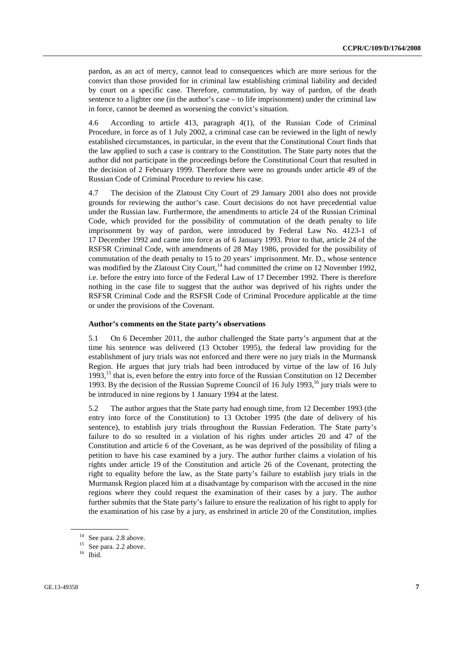pardon, as an act of mercy, cannot lead to consequences which are more serious for the convict than those provided for in criminal law establishing criminal liability and decided by court on a specific case. Therefore, commutation, by way of pardon, of the death sentence to a lighter one (in the author's case – to life imprisonment) under the criminal law in force, cannot be deemed as worsening the convict's situation.

4.6 According to article 413, paragraph 4(1), of the Russian Code of Criminal Procedure, in force as of 1 July 2002, a criminal case can be reviewed in the light of newly established circumstances, in particular, in the event that the Constitutional Court finds that the law applied to such a case is contrary to the Constitution. The State party notes that the author did not participate in the proceedings before the Constitutional Court that resulted in the decision of 2 February 1999. Therefore there were no grounds under article 49 of the Russian Code of Criminal Procedure to review his case.

4.7 The decision of the Zlatoust City Court of 29 January 2001 also does not provide grounds for reviewing the author's case. Court decisions do not have precedential value under the Russian law. Furthermore, the amendments to article 24 of the Russian Criminal Code, which provided for the possibility of commutation of the death penalty to life imprisonment by way of pardon, were introduced by Federal Law No. 4123-1 of 17 December 1992 and came into force as of 6 January 1993. Prior to that, article 24 of the RSFSR Criminal Code, with amendments of 28 May 1986, provided for the possibility of commutation of the death penalty to 15 to 20 years' imprisonment. Mr. D., whose sentence was modified by the Zlatoust City Court,<sup>14</sup> had committed the crime on 12 November 1992, i.e. before the entry into force of the Federal Law of 17 December 1992. There is therefore nothing in the case file to suggest that the author was deprived of his rights under the RSFSR Criminal Code and the RSFSR Code of Criminal Procedure applicable at the time or under the provisions of the Covenant.

#### **Author's comments on the State party's observations**

5.1 On 6 December 2011, the author challenged the State party's argument that at the time his sentence was delivered (13 October 1995), the federal law providing for the establishment of jury trials was not enforced and there were no jury trials in the Murmansk Region. He argues that jury trials had been introduced by virtue of the law of 16 July 1993,<sup>15</sup> that is, even before the entry into force of the Russian Constitution on 12 December 1993. By the decision of the Russian Supreme Council of 16 July 1993,<sup>16</sup> jury trials were to be introduced in nine regions by 1 January 1994 at the latest.

5.2 The author argues that the State party had enough time, from 12 December 1993 (the entry into force of the Constitution) to 13 October 1995 (the date of delivery of his sentence), to establish jury trials throughout the Russian Federation. The State party's failure to do so resulted in a violation of his rights under articles 20 and 47 of the Constitution and article 6 of the Covenant, as he was deprived of the possibility of filing a petition to have his case examined by a jury. The author further claims a violation of his rights under article 19 of the Constitution and article 26 of the Covenant, protecting the right to equality before the law, as the State party's failure to establish jury trials in the Murmansk Region placed him at a disadvantage by comparison with the accused in the nine regions where they could request the examination of their cases by a jury. The author further submits that the State party's failure to ensure the realization of his right to apply for the examination of his case by a jury, as enshrined in article 20 of the Constitution, implies

 $14$  See para. 2.8 above.

<sup>&</sup>lt;sup>15</sup> See para. 2.2 above.

<sup>16</sup> Ibid.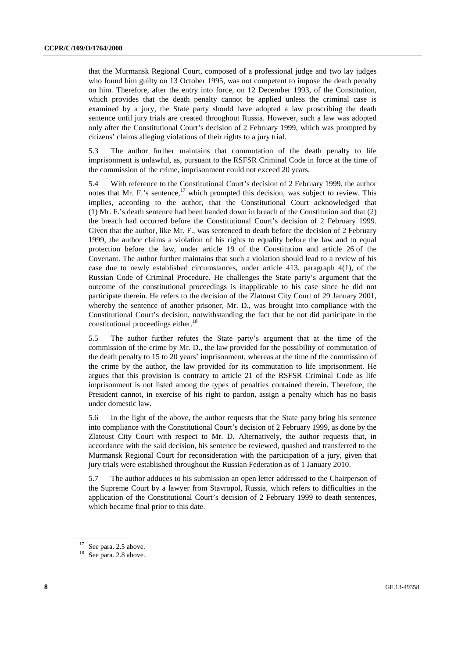that the Murmansk Regional Court, composed of a professional judge and two lay judges who found him guilty on 13 October 1995, was not competent to impose the death penalty on him. Therefore, after the entry into force, on 12 December 1993, of the Constitution, which provides that the death penalty cannot be applied unless the criminal case is examined by a jury, the State party should have adopted a law proscribing the death sentence until jury trials are created throughout Russia. However, such a law was adopted only after the Constitutional Court's decision of 2 February 1999, which was prompted by citizens' claims alleging violations of their rights to a jury trial.

5.3 The author further maintains that commutation of the death penalty to life imprisonment is unlawful, as, pursuant to the RSFSR Criminal Code in force at the time of the commission of the crime, imprisonment could not exceed 20 years.

5.4 With reference to the Constitutional Court's decision of 2 February 1999, the author notes that Mr. F.'s sentence,<sup>17</sup> which prompted this decision, was subject to review. This implies, according to the author, that the Constitutional Court acknowledged that (1) Mr. F.'s death sentence had been handed down in breach of the Constitution and that (2) the breach had occurred before the Constitutional Court's decision of 2 February 1999. Given that the author, like Mr. F., was sentenced to death before the decision of 2 February 1999, the author claims a violation of his rights to equality before the law and to equal protection before the law, under article 19 of the Constitution and article 26 of the Covenant. The author further maintains that such a violation should lead to a review of his case due to newly established circumstances, under article 413, paragraph 4(1), of the Russian Code of Criminal Procedure. He challenges the State party's argument that the outcome of the constitutional proceedings is inapplicable to his case since he did not participate therein. He refers to the decision of the Zlatoust City Court of 29 January 2001, whereby the sentence of another prisoner, Mr. D., was brought into compliance with the Constitutional Court's decision, notwithstanding the fact that he not did participate in the constitutional proceedings either. $18$ 

5.5 The author further refutes the State party's argument that at the time of the commission of the crime by Mr. D., the law provided for the possibility of commutation of the death penalty to 15 to 20 years' imprisonment, whereas at the time of the commission of the crime by the author, the law provided for its commutation to life imprisonment. He argues that this provision is contrary to article 21 of the RSFSR Criminal Code as life imprisonment is not listed among the types of penalties contained therein. Therefore, the President cannot, in exercise of his right to pardon, assign a penalty which has no basis under domestic law.

5.6 In the light of the above, the author requests that the State party bring his sentence into compliance with the Constitutional Court's decision of 2 February 1999, as done by the Zlatoust City Court with respect to Mr. D. Alternatively, the author requests that, in accordance with the said decision, his sentence be reviewed, quashed and transferred to the Murmansk Regional Court for reconsideration with the participation of a jury, given that jury trials were established throughout the Russian Federation as of 1 January 2010.

5.7 The author adduces to his submission an open letter addressed to the Chairperson of the Supreme Court by a lawyer from Stavropol, Russia, which refers to difficulties in the application of the Constitutional Court's decision of 2 February 1999 to death sentences, which became final prior to this date.

<sup>&</sup>lt;sup>17</sup> See para. 2.5 above.

<sup>&</sup>lt;sup>18</sup> See para. 2.8 above.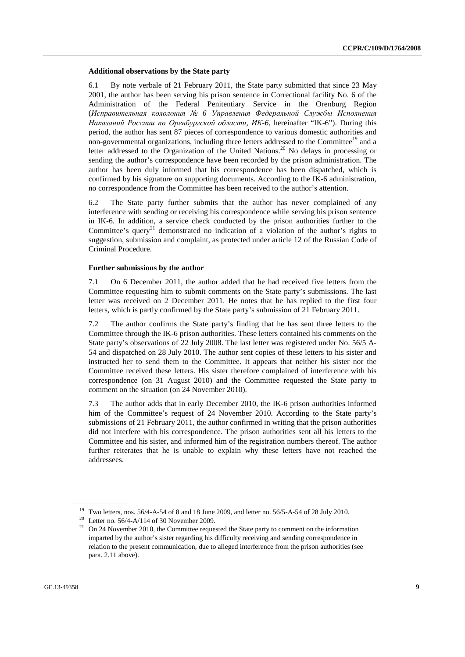#### **Additional observations by the State party**

6.1 By note verbale of 21 February 2011, the State party submitted that since 23 May 2001, the author has been serving his prison sentence in Correctional facility No. 6 of the Administration of the Federal Penitentiary Service in the Orenburg Region (*Исправительная кололония № 6 Управления Федеральной Службы Исполнения Наказаний Россиии по Оренбургской области, ИК-6,* hereinafter "IK-6"). During this period, the author has sent 87 pieces of correspondence to various domestic authorities and non-governmental organizations, including three letters addressed to the Committee<sup>19</sup> and a letter addressed to the Organization of the United Nations.<sup>20</sup> No delays in processing or sending the author's correspondence have been recorded by the prison administration. The author has been duly informed that his correspondence has been dispatched, which is confirmed by his signature on supporting documents. According to the IK-6 administration, no correspondence from the Committee has been received to the author's attention.

6.2 The State party further submits that the author has never complained of any interference with sending or receiving his correspondence while serving his prison sentence in IK-6. In addition, a service check conducted by the prison authorities further to the Committee's query<sup>21</sup> demonstrated no indication of a violation of the author's rights to suggestion, submission and complaint, as protected under article 12 of the Russian Code of Criminal Procedure.

#### **Further submissions by the author**

7.1 On 6 December 2011, the author added that he had received five letters from the Committee requesting him to submit comments on the State party's submissions. The last letter was received on 2 December 2011. He notes that he has replied to the first four letters, which is partly confirmed by the State party's submission of 21 February 2011.

7.2 The author confirms the State party's finding that he has sent three letters to the Committee through the IK-6 prison authorities. These letters contained his comments on the State party's observations of 22 July 2008. The last letter was registered under No. 56/5 A-54 and dispatched on 28 July 2010. The author sent copies of these letters to his sister and instructed her to send them to the Committee. It appears that neither his sister nor the Committee received these letters. His sister therefore complained of interference with his correspondence (on 31 August 2010) and the Committee requested the State party to comment on the situation (on 24 November 2010).

7.3 The author adds that in early December 2010, the IK-6 prison authorities informed him of the Committee's request of 24 November 2010. According to the State party's submissions of 21 February 2011, the author confirmed in writing that the prison authorities did not interfere with his correspondence. The prison authorities sent all his letters to the Committee and his sister, and informed him of the registration numbers thereof. The author further reiterates that he is unable to explain why these letters have not reached the addressees.

<sup>19</sup> Two letters, nos. 56/4-A-54 of 8 and 18 June 2009, and letter no. 56/5-A-54 of 28 July 2010.

<sup>&</sup>lt;sup>20</sup> Letter no. 56/4-A/114 of 30 November 2009.

 $21$  On 24 November 2010, the Committee requested the State party to comment on the information imparted by the author's sister regarding his difficulty receiving and sending correspondence in relation to the present communication, due to alleged interference from the prison authorities (see para. 2.11 above).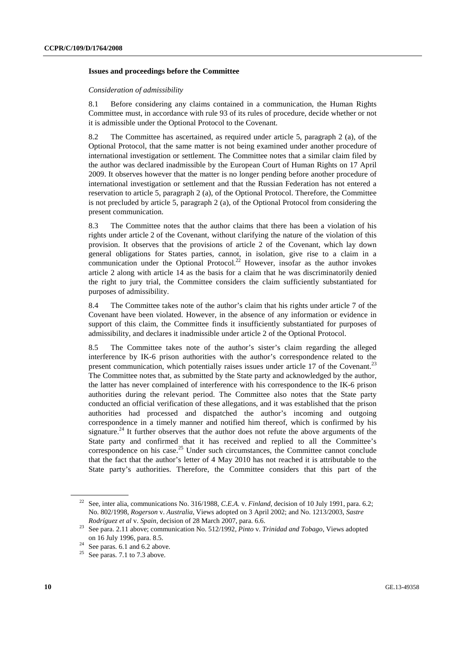#### **Issues and proceedings before the Committee**

#### *Consideration of admissibility*

8.1 Before considering any claims contained in a communication, the Human Rights Committee must, in accordance with rule 93 of its rules of procedure, decide whether or not it is admissible under the Optional Protocol to the Covenant.

8.2 The Committee has ascertained, as required under article 5, paragraph 2 (a), of the Optional Protocol, that the same matter is not being examined under another procedure of international investigation or settlement. The Committee notes that a similar claim filed by the author was declared inadmissible by the European Court of Human Rights on 17 April 2009. It observes however that the matter is no longer pending before another procedure of international investigation or settlement and that the Russian Federation has not entered a reservation to article 5, paragraph 2 (a), of the Optional Protocol. Therefore, the Committee is not precluded by article 5, paragraph 2 (a), of the Optional Protocol from considering the present communication.

8.3 The Committee notes that the author claims that there has been a violation of his rights under article 2 of the Covenant, without clarifying the nature of the violation of this provision. It observes that the provisions of article 2 of the Covenant, which lay down general obligations for States parties, cannot, in isolation, give rise to a claim in a communication under the Optional Protocol.<sup>22</sup> However, insofar as the author invokes article 2 along with article  $14$  as the basis for a claim that he was discriminatorily denied the right to jury trial, the Committee considers the claim sufficiently substantiated for purposes of admissibility.

8.4 The Committee takes note of the author's claim that his rights under article 7 of the Covenant have been violated. However, in the absence of any information or evidence in support of this claim, the Committee finds it insufficiently substantiated for purposes of admissibility, and declares it inadmissible under article 2 of the Optional Protocol.

8.5 The Committee takes note of the author's sister's claim regarding the alleged interference by IK-6 prison authorities with the author's correspondence related to the present communication, which potentially raises issues under article 17 of the Covenant.<sup>23</sup> The Committee notes that, as submitted by the State party and acknowledged by the author, the latter has never complained of interference with his correspondence to the IK-6 prison authorities during the relevant period. The Committee also notes that the State party conducted an official verification of these allegations, and it was established that the prison authorities had processed and dispatched the author's incoming and outgoing correspondence in a timely manner and notified him thereof, which is confirmed by his signature.<sup>24</sup> It further observes that the author does not refute the above arguments of the State party and confirmed that it has received and replied to all the Committee's correspondence on his case.<sup>25</sup> Under such circumstances, the Committee cannot conclude that the fact that the author's letter of 4 May 2010 has not reached it is attributable to the State party's authorities. Therefore, the Committee considers that this part of the

<sup>22</sup> See, inter alia, communications No. 316/1988, *C.E.A.* v. *Finland*, decision of 10 July 1991, para. 6.2; No. 802/1998, *Rogerson* v. *Australia,* Views adopted on 3 April 2002; and No. 1213/2003, *Sastre* 

*Rodríguez et al* v. *Spain*, decision of 28 March 2007, para. 6.6. 23 See para. 2.11 above; communication No. 512/1992, *Pinto* v. *Trinidad and Tobago*, Views adopted on 16 July 1996, para. 8.5. 24 See paras. 6.1 and 6.2 above.

 $25$  See paras. 7.1 to 7.3 above.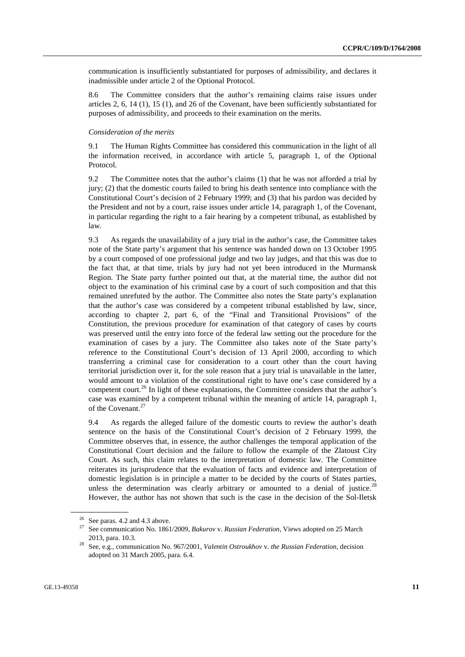communication is insufficiently substantiated for purposes of admissibility, and declares it inadmissible under article 2 of the Optional Protocol.

8.6 The Committee considers that the author's remaining claims raise issues under articles 2, 6, 14 (1), 15 (1), and 26 of the Covenant, have been sufficiently substantiated for purposes of admissibility, and proceeds to their examination on the merits.

#### *Consideration of the merits*

9.1 The Human Rights Committee has considered this communication in the light of all the information received, in accordance with article 5, paragraph 1, of the Optional Protocol.

9.2 The Committee notes that the author's claims (1) that he was not afforded a trial by jury; (2) that the domestic courts failed to bring his death sentence into compliance with the Constitutional Court's decision of 2 February 1999; and (3) that his pardon was decided by the President and not by a court, raise issues under article 14, paragraph 1, of the Covenant, in particular regarding the right to a fair hearing by a competent tribunal, as established by law.

9.3 As regards the unavailability of a jury trial in the author's case, the Committee takes note of the State party's argument that his sentence was handed down on 13 October 1995 by a court composed of one professional judge and two lay judges, and that this was due to the fact that, at that time, trials by jury had not yet been introduced in the Murmansk Region. The State party further pointed out that, at the material time, the author did not object to the examination of his criminal case by a court of such composition and that this remained unrefuted by the author. The Committee also notes the State party's explanation that the author's case was considered by a competent tribunal established by law, since, according to chapter 2, part 6, of the "Final and Transitional Provisions" of the Constitution, the previous procedure for examination of that category of cases by courts was preserved until the entry into force of the federal law setting out the procedure for the examination of cases by a jury. The Committee also takes note of the State party's reference to the Constitutional Court's decision of 13 April 2000, according to which transferring a criminal case for consideration to a court other than the court having territorial jurisdiction over it, for the sole reason that a jury trial is unavailable in the latter, would amount to a violation of the constitutional right to have one's case considered by a competent court.<sup>26</sup> In light of these explanations, the Committee considers that the author's case was examined by a competent tribunal within the meaning of article 14, paragraph 1, of the Covenant.<sup>27</sup>

9.4 As regards the alleged failure of the domestic courts to review the author's death sentence on the basis of the Constitutional Court's decision of 2 February 1999, the Committee observes that, in essence, the author challenges the temporal application of the Constitutional Court decision and the failure to follow the example of the Zlatoust City Court. As such, this claim relates to the interpretation of domestic law. The Committee reiterates its jurisprudence that the evaluation of facts and evidence and interpretation of domestic legislation is in principle a matter to be decided by the courts of States parties, unless the determination was clearly arbitrary or amounted to a denial of justice.<sup>2</sup> However, the author has not shown that such is the case in the decision of the Sol-Iletsk

 $26$  See paras. 4.2 and 4.3 above.

<sup>27</sup> See communication No. 1861/2009, *Bakurov* v. *Russian Federation*, Views adopted on 25 March

<sup>2013,</sup> para. 10.3. 28 See, e.g., communication No. 967/2001, *Valentin Ostroukhov* v. *the Russian Federation*, decision adopted on 31 March 2005, para. 6.4.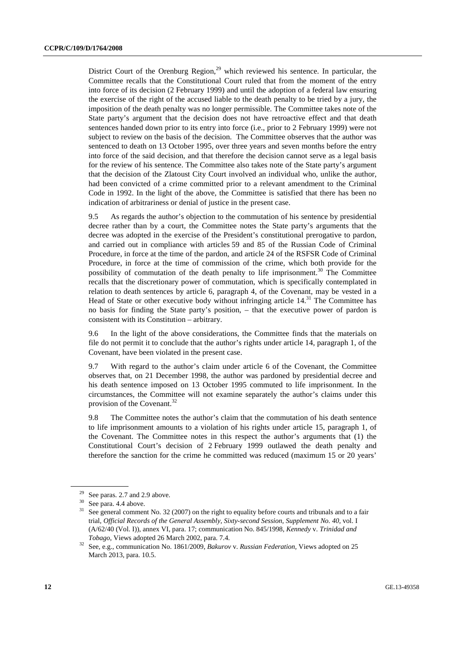District Court of the Orenburg Region,<sup>29</sup> which reviewed his sentence. In particular, the Committee recalls that the Constitutional Court ruled that from the moment of the entry into force of its decision (2 February 1999) and until the adoption of a federal law ensuring the exercise of the right of the accused liable to the death penalty to be tried by a jury, the imposition of the death penalty was no longer permissible. The Committee takes note of the State party's argument that the decision does not have retroactive effect and that death sentences handed down prior to its entry into force (i.e., prior to 2 February 1999) were not subject to review on the basis of the decision. The Committee observes that the author was sentenced to death on 13 October 1995, over three years and seven months before the entry into force of the said decision, and that therefore the decision cannot serve as a legal basis for the review of his sentence. The Committee also takes note of the State party's argument that the decision of the Zlatoust City Court involved an individual who, unlike the author, had been convicted of a crime committed prior to a relevant amendment to the Criminal Code in 1992. In the light of the above, the Committee is satisfied that there has been no indication of arbitrariness or denial of justice in the present case.

9.5 As regards the author's objection to the commutation of his sentence by presidential decree rather than by a court, the Committee notes the State party's arguments that the decree was adopted in the exercise of the President's constitutional prerogative to pardon, and carried out in compliance with articles 59 and 85 of the Russian Code of Criminal Procedure, in force at the time of the pardon, and article 24 of the RSFSR Code of Criminal Procedure, in force at the time of commission of the crime, which both provide for the possibility of commutation of the death penalty to life imprisonment.<sup>30</sup> The Committee recalls that the discretionary power of commutation, which is specifically contemplated in relation to death sentences by article 6, paragraph 4, of the Covenant, may be vested in a Head of State or other executive body without infringing article  $14$ <sup>31</sup>. The Committee has no basis for finding the State party's position, – that the executive power of pardon is consistent with its Constitution – arbitrary.

9.6 In the light of the above considerations, the Committee finds that the materials on file do not permit it to conclude that the author's rights under article 14, paragraph 1, of the Covenant, have been violated in the present case.

9.7 With regard to the author's claim under article 6 of the Covenant, the Committee observes that, on 21 December 1998, the author was pardoned by presidential decree and his death sentence imposed on 13 October 1995 commuted to life imprisonment. In the circumstances, the Committee will not examine separately the author's claims under this provision of the Covenant.<sup>32</sup>

9.8 The Committee notes the author's claim that the commutation of his death sentence to life imprisonment amounts to a violation of his rights under article 15, paragraph 1, of the Covenant. The Committee notes in this respect the author's arguments that (1) the Constitutional Court's decision of 2 February 1999 outlawed the death penalty and therefore the sanction for the crime he committed was reduced (maximum 15 or 20 years'

 $29$  See paras. 2.7 and 2.9 above.

 $30$  See para. 4.4 above.

 $31$  See general comment No. 32 (2007) on the right to equality before courts and tribunals and to a fair trial, *Official Records of the General Assembly, Sixty-second Session, Supplement No. 40,* vol. I (A/62/40 (Vol. I)), annex VI, para. 17; communication No. 845/1998, *Kennedy* v. *Trinidad and* 

*Tobago*, Views adopted 26 March 2002, para. 7.4. 32 See, e.g., communication No. 1861/2009, *Bakurov* v. *Russian Federation,* Views adopted on 25 March 2013, para. 10.5.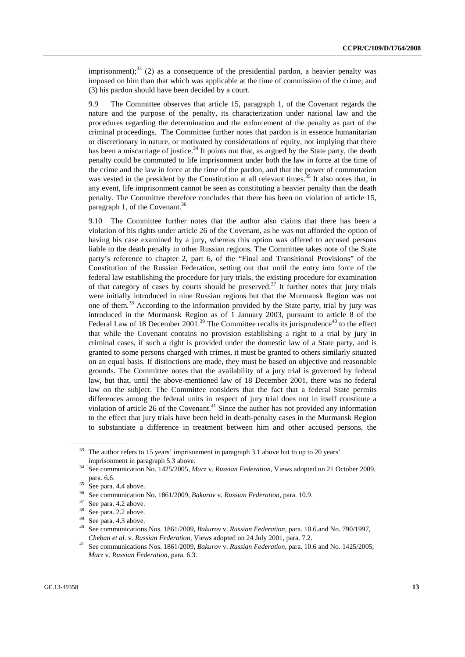imprisonment); $^{33}$  (2) as a consequence of the presidential pardon, a heavier penalty was imposed on him than that which was applicable at the time of commission of the crime; and (3) his pardon should have been decided by a court.

9.9 The Committee observes that article 15, paragraph 1, of the Covenant regards the nature and the purpose of the penalty, its characterization under national law and the procedures regarding the determination and the enforcement of the penalty as part of the criminal proceedings. The Committee further notes that pardon is in essence humanitarian or discretionary in nature, or motivated by considerations of equity, not implying that there has been a miscarriage of justice.<sup>34</sup> It points out that, as argued by the State party, the death penalty could be commuted to life imprisonment under both the law in force at the time of the crime and the law in force at the time of the pardon, and that the power of commutation was vested in the president by the Constitution at all relevant times.<sup>35</sup> It also notes that, in any event, life imprisonment cannot be seen as constituting a heavier penalty than the death penalty. The Committee therefore concludes that there has been no violation of article 15, paragraph 1, of the Covenant.<sup>36</sup>

9.10 The Committee further notes that the author also claims that there has been a violation of his rights under article 26 of the Covenant, as he was not afforded the option of having his case examined by a jury, whereas this option was offered to accused persons liable to the death penalty in other Russian regions. The Committee takes note of the State party's reference to chapter 2, part 6, of the "Final and Transitional Provisions" of the Constitution of the Russian Federation, setting out that until the entry into force of the federal law establishing the procedure for jury trials, the existing procedure for examination of that category of cases by courts should be preserved.<sup>37</sup> It further notes that jury trials were initially introduced in nine Russian regions but that the Murmansk Region was not one of them.38 According to the information provided by the State party, trial by jury was introduced in the Murmansk Region as of 1 January 2003, pursuant to article 8 of the Federal Law of 18 December 2001.<sup>39</sup> The Committee recalls its jurisprudence<sup>40</sup> to the effect that while the Covenant contains no provision establishing a right to a trial by jury in criminal cases, if such a right is provided under the domestic law of a State party, and is granted to some persons charged with crimes, it must be granted to others similarly situated on an equal basis. If distinctions are made, they must be based on objective and reasonable grounds. The Committee notes that the availability of a jury trial is governed by federal law, but that, until the above-mentioned law of 18 December 2001, there was no federal law on the subject. The Committee considers that the fact that a federal State permits differences among the federal units in respect of jury trial does not in itself constitute a violation of article 26 of the Covenant.<sup>41</sup> Since the author has not provided any information to the effect that jury trials have been held in death-penalty cases in the Murmansk Region to substantiate a difference in treatment between him and other accused persons, the

 $33$  The author refers to 15 years' imprisonment in paragraph 3.1 above but to up to 20 years'

imprisonment in paragraph 5.3 above.<br>See communication No. 1425/2005, *Marz v. Russian Federation*, Views adopted on 21 October 2009, para. 6.6.

 $rac{35}{36}$  See para. 4.4 above.

<sup>&</sup>lt;sup>36</sup> See communication No. 1861/2009, *Bakurov v. Russian Federation*, para. 10.9.<br><sup>37</sup> See para. 4.2 above.<br><sup>38</sup> See name. 2.2 above.

 $rac{38}{39}$  See para. 2.2 above.

 $\frac{39}{40}$  See para. 4.3 above.

<sup>40</sup> See communications Nos. 1861/2009, *Bakurov* v. *Russian Federation,* para. 10.6.and No. 790/1997, *Cheban et al.* v. *Russian Federation,* Views adopted on 24 July 2001, para. 7.2. 41 See communications Nos. 1861/2009, *Bakurov* v. *Russian Federation,* para. 10.6 and No. 1425/2005,

*Marz* v. *Russian Federation*, para. 6.3.